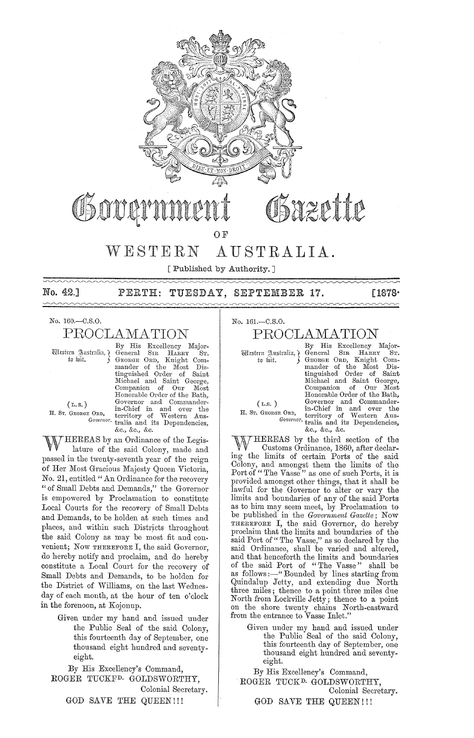

Obove

Osazette

# OF

# WESTERN AUSTRALIA.

[ Published by Authority.]

No. 42.] PERTH: TUESDAY, SEPTEMBER 17. [1878]

No. 160.-C.S.0.

PROOLAMATION

By His Excellency Major-<br>Western Australia, { General SIR HARRY ST. The function of the compact of the com-<br>to wit. ) GEORGE ORD, Knight Commander of the Most Dis-<br>tinguished Order of Saint Michael and Saint George, Companion of Our Most Honorable Order of the Bath, (L.S.) Governor and Commander-<br>
H. Sr. GEORGE ORD, territory of Western Aus-Governor. tralia and its Dependencies,

 $(L, S, )$ 

&c., &c., &c. HEREAS by an Ordinance of the Legislature of the said Colony, made and passed in the twenty-seventh year of the reign of Her Most Gracious Majesty Queen Victoria, No. 21, entitled" An Ordinance for the recovery " of Small Debts and Demands," the Governor is empowered by Proclamation to constitute Local Courts for the recovery of Small Debts and Demands, to be holden at such times and places, and within such Districts throughout the said Colony as may be most fit and convenient; Now THEREFORE I, the said Governor, do hereby notify and proclaim, and do hereby constitute a Local Court for the recovery of Small Debts and Demands, to be holden for the District of Williams, on the last Wednesday of each month, at the hour of ten o'clock in the forenoon, at Kojonup.

Given under my hand and issued under the Public Seal of the said Colony, this fourteenth day of September, one thousand eight hundred and seventyeight.

By His Excellency's Command, ROGER TUCKFD. GOIJDSWORTHY, Colonial Secretary. GOD SAVE THE QUEEN!!!

No. 161.-C.S.0.

# PROOLAMATION

By His Excellency Major- 'QiiJ£fittrn ~m;trulill'} General SIR HARRY ST. t~ fuit. GEORGE ORD, Knight Commander of the Most Dis-tinguished Order of Saint Michael and Saint George, Companion of Our Most<br>Honorable Order of the Bath, (L.S. ) Governor and Commander-**H.** Sr. GEORGE ORD, territory of Western Aus-*Governor*. tralia and its Dependencies, &c., &0., &0.

*"'l.7[THEREAS* by the third section of the  $W$  Customs Ordinance, 1860, after declaring the limits of certain Ports of the said Colony, and amongst them the limits of the Port of "The Vasse" as one of such Ports, it is provided amongst other things, that it shall be lawful for the Governor to alter or vary the limits and boundaries of any of the said Ports as to him may seem meet, by Proclamation to be published in the *Government Gazette;* Now THEREFORE I, the said Governor, do hereby proclaim that the limits and boundaries of the said Port of "The Vasse," as so declared by the said Ordinance, shall be varied and altered, and that henceforth the limits and boundaries of the said Port of "The Vasse" shall be as follows :- "Bounded by lines starting from Quindalup Jetty, and extending due North three miles; thence to a point tbree miles due North from Lockville Jetty; thence to a point on the shore twenty chains North-eastward from the entrance to Vasse Inlet."

Given under my hand and issued under the Public Seal of the said Colony, this fourteenth day of September, one thousand eight hundred and seventyeight.

By His Excellency's Command, ROGER TUCK<sup>D</sup>. GOLDSWORTHY, Colonial Secretary. GOD SAVE THE QUEEN!!!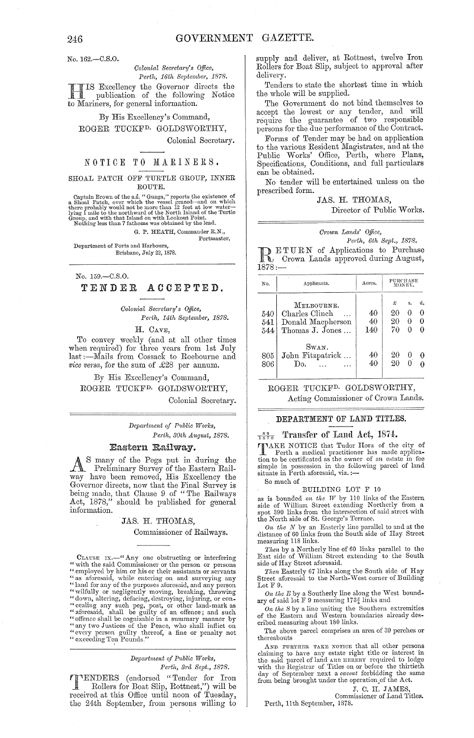No. 162.-0.S.0.

### *Oolonial Secreta?'Y's Office, Pej·th, 16th September, 1878.*

HIS Excellency the Governor directs the publication of the following Notice to Mariners, for general information.

By His Excellency's Command, ROGER TUCKFD. GOLDSWORTHY, Colonial Secretary.

#### NOTICE TO MARINERS.

#### SHOAL PATCH OFF TURTLE GROUP, INNER ROUTE.

Captain Brown of the s.s. "Gunga," reports the existence of a Shoal Patch, over which the vessel grazed—and on which there probably would not be more than 12 feet at low water-lying 1 mile to the northward of the North Is

G. P. HEATH, Commander R.N.,

Portmaster.

Department of Ports and Harbours, Brisbane, July 22, 1878.

No. 159.-C.S.0.

#### TENDER ACCEPTED.

*Colonial Secretary's Office, Perth, 14th September, 1878.* 

H. CAVE,

To convey weekly (and at all other times when required) for three years from 1st July last :- Mails from Cossack to Roebourne and *vice versa*, for the sum of £28 per annum.

By His Excellency's Command, ROGER TUCKFD. GOLDSWORTHY,

Colonial Secretary.

*Depa?'iment of P1tblic WOj'ks, Perth, 30th August, 1878.* 

#### Eastern Railway.

As many of the Pegs put in during the Preliminary Survey of the Eastern Railway have been removed, His Excellency the Governor directs, now that the Final Survey is being made, that Clause 9 of "The Railways Act, 1878," should be published for general information.

#### JAS. H. THOMAS,

Commissioner of Railways.

CLAUSE IX.-" Any one obstructing or interfering " with the said Commissioner or the person or persons" employed by him or his or their assistants or servants " as aforesaid, while entering on and surveying any<br>" land for any of the purposes aforesaid, and any person<br>" wilfully or negligently moving, breaking, throwing<br>" down, altering, defacing, destroying, injuring, or con-<br>" "every person guilty thereof, a fine or penalty not "exceeding Ten Pounds." I

#### $Department\ of\ Public\ Works,$ *Perth, 3j'd Sept., 18'18.*

'l'ENDERS (endorsed "Tender for Iron Rollers for Boat Slip, Rottnest,") will be received at this Office until noon of Tuesday, the 24th September, from persons willing to

supply and deliver, at Rottnest, twelve Iron Rollers for Boat Slip, subject to approval after delivery.

Tenders to state the shortest time in which the whole will be supplied.

The Government do not bind themselves to accept the lowest or any tender, and will require the guarantee of two responsible persons for the due performance of the Contract.

Forms of Tender may be had on application to the various Resident Magistrates, and at the Puhlic Works' Office, Perth, where Plans, Specifications, Conditions, and full particulars can be obtained.

No tender will be entertained unless on the prescribed form.

JAS. H. THOMAS, Director of Public Works.

| Crown Lands' Office, |                         |  |
|----------------------|-------------------------|--|
|                      | Perth, 6th Sept., 1878. |  |

**RETURN** of Applications to Purchase Crown Lands approved during August,  $1878:$ 

| No.               | Applicants.                                                          | Acres.          | PURCHASE<br>MONEY.  |              |         |  |
|-------------------|----------------------------------------------------------------------|-----------------|---------------------|--------------|---------|--|
| 540<br>541<br>544 | MELBOURNE.<br>Charles Clinch<br>Donald Macpherson<br>Thomas J. Jones | 40<br>40<br>140 | £<br>20<br>20<br>70 | s.<br>0<br>0 | а.<br>0 |  |
| 805<br>806        | Swan.<br>John Fitzpatrick<br>Do.                                     | 40<br>40        | 20<br>20            | O            |         |  |

## ROGER TUCKFD. GOLDSWORTHY, Acting Commissioner of Crown Lands.

### DEPARTMENT OF LAND TITLES.

#### $\frac{82}{1878}$  Transfer of Land Act, 1874.

TAKE NOTICE that Tudor Hora of the city of Perth a medical practitioner has made application to be certificated as the owner of an estate in fee simple in possession in the following parcel of land situate in Perth aforesaid, viz. :—

So much of

#### BUILDING LOT F 10

as is bounded *on the W* by 110 links of the Eastern<br>side of William Street extending Northerly from a spot 390 links from the intersection of said street with. the North side of St. George's Terrace.

*On the N* by an Easterly line parallel to and at the distance of 60 links from the South side of Hay Street measming 118 links.

*Then* by a Northerly line of 60 links parallel to the East side of William Street extending to the South side of Hay Street aforesaid.

*Then* Easterly 67 links along the South side of Hay<br>Street aforesaid to the North-West corner of Building Lot F 9.

*On the E* by a Southerly line along the \Vest boundary of said lot F 9 measuring  $173\frac{3}{4}$  links and

*On the S* by a line uniting the Southern extremities of the Eastern and Western boundaries already described measuring about 180 links.

The above parcel comprises an area of 39 perches or thereabouts

AND FURTHER TAKE NOTICE that all other persons<br>claiming to have any estate right title or interest in<br>the said parcel of land ARE HERERY required to lodge<br>with the Registrar of Titles on or before the thirtieth<br>day of Sept

J. C. H. JAMES Commissioner of Land Titles.

Perth, 11th September, 1878.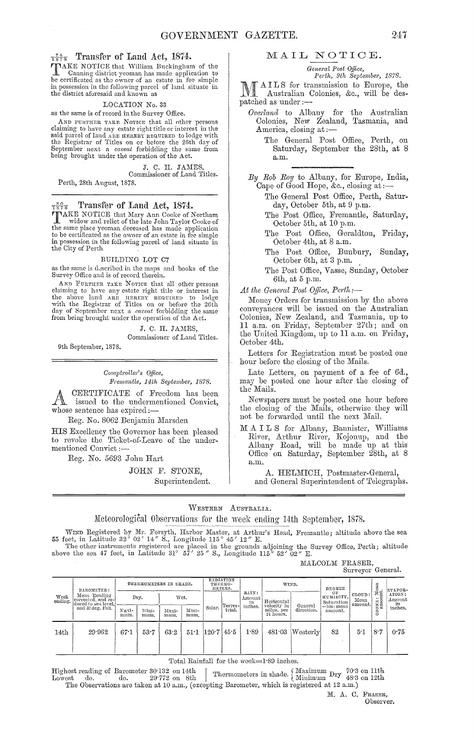TNAKE NOTICE that William Buckingham of the Canning district yeoman has made application to be certificated as the owner of an estate in fee simple in possession in the following parcel of land situate in the district aforesaid and known as

#### LOCATION No. 33

as the same is of record in thc Survey Office.

AND FURTHER TAKE NOTICE that all other persons claiming to have any estate right title or interest in the<br>said parcel of land ARE HEREBY REQUIRED to lodge with the Registrar of Titles on or before the 26th day of September next a *caveat* forbidding the same from<br>being brought under the operation of the Act.

> J. C. H. JAMES Commissioner of Land Titles.

Perth, 28th August, 1878.

### $T<sub>578</sub><sup>89</sup>$  Transfer of Land Act, 1874.

TAKE NOTICE that Mary Ann Cooke of Northam<br>widow and relict of the late John Taylor Cooke of widow and relict of the late John Taylor Cooke of the same place yeoman deceascd has made application to be certificated as the owner of an estate in fee simple in possession in the following parcel of land sitnate in the City of Perth

BUILDING LOT C7

as the same is described in the maps and books of the Survey Office and is of record therein.

AND FURTHER TAKE NOTICE that all other persons claiming to have any estate right title or interest in the above land ARE HEREBY REQUIRED to lodge the 26th with the Registrar of Titles on or before the 26th day of September next a *caveat* forbidding the same from being brought under the operation of the Act.

> J. C. H. JAMES, Commissioner of Land Titles.

9th September, 1878.

*C01J1fptrolZer's QOice, Fremantle, 14th September, 1878.* 

CERTIFICATE of Freedom has been issued to the undermentioned Convict, whose sentence has expired:-

Reg. No. 8062 Benjamin Marsden

HIS Excellency the Governor has been pleased to revoke the Ticket-of-Leave of the undermentioned Convict ;-

Reg. No. 5693 John Hart

JOHN F. STONE, Superintendent.

#### MAIL NOTIOE.

*General Post Qtfice,* 

*Perth, 9th Septemba, 1878.* 

l\ /f A I L S for transmission to Europe, the Australian Colonies, &c., will be despatched as under ;-

*Overland* to Albany for Colonies, New Zealand, America, closing at ; the Australian Tasmania, and

The General Post Office, Perth, on Saturday, September the 28th, at 8 a.m.

*By Rob Ray* to Albany, for Europe, India, Cape of Good Hope, &c., closing at:

The General Post Office, Perth, Saturday, October 5th, at 9 p.m.

The Post Office, Fremantle, Saturday, October 5th, at 10 p.m.

The Post Office, Geraldton, Friday, October 4th, at 8 a.m.

The Post Office, Bunbury, Sunday, October 6th, at 3 p.m. .

The Post Office, Vasse, Sunday, October 6th, at 5 p.m.

*.At the General Post O.ffice, Perth:-*

Money Orders for transmission by the above conyeyauces will be issued on the Australian Colonies, New Zealand, and Tasmania, up to 11 a.m. on Friday, September 27th; and on the United Kingdom, up to 11 a.m. on Friday, October 4th.

Letters for Registration must be posted one hour before the closing of the Mails.

Late Letters, on payment of a fee of 6d., may be posted one hour after the closing of the Mails.

Newspapers must be posted one hour before the closing of the Mails, otherwise they will not be forwarded until the next Mail.

M A I L S for Albany, Bannister, Williams River, Arthur River, Kojonup, and the Albany Road, will be made up at this Office on Saturday, September 28th, at 8 a.m.

A. HELMICH, Postmaster-General, and General Superintendent of Telegraphs.

WESTERN AUSTRALIA.

Meteorological Observations for the week ending 14th September, 1878.

WIND Registered by Mr. Forsyth, Harbor Master, at Arthur's Head, Fremantle; altitude above the sea 55 feet, in Latitude 32° 02' 14" S., Longitude 115° 45' 12" E.

The other instruments registered are placed in the grounds adjoining the Survey Office, Perth; altitude above the sea 47 feet, in Latitude 31° 57' 25" S., Longitude 115° 52' 02" E.

MALCOLM FRASER, Surveyor General.

| BAROMETER:<br>Mean Reading<br>Week<br>corrected, and re-<br>ending.<br>duced to sea level,<br>and 32 deg. Fah. |        | THERMOMETERS IN SHADE. |               |               | <b>RADIATION</b><br>THERMO-<br>METERS. |                                         | WIND.                 |            | DEGREE                                 | S.                          |                                 | EVAPOR-          |             |               |
|----------------------------------------------------------------------------------------------------------------|--------|------------------------|---------------|---------------|----------------------------------------|-----------------------------------------|-----------------------|------------|----------------------------------------|-----------------------------|---------------------------------|------------------|-------------|---------------|
|                                                                                                                | Dry.   |                        | Wet.          |               |                                        |                                         | RAIN:<br>Amount<br>in | Horizontal | OF<br>HUMIDITY,<br>Saturation          | CLOUD:<br>Mean<br>' amount. | : Mean<br>unt.<br>$\frac{0}{2}$ | ATION:<br>Amount |             |               |
|                                                                                                                |        | Naxi-<br>mum.          | Mini-<br>mum. | Maxi-<br>mum. | Mini-<br>mum.                          | Solar.                                  | Terres-<br>trial.     | inches.    | velocity in<br>miles, per<br>24 hours. | General<br>direction.       | $=100$ ; mean<br>amount.        |                  | $\tilde{c}$ | in<br>inches. |
| 14 <sub>th</sub>                                                                                               | 29.962 | 67.1                   | 53.7          | 63.2          |                                        | $51 \cdot 1$ $120 \cdot 7$ $45 \cdot 5$ |                       | 1.89       | 481.03                                 | Wester <sub>l</sub>         | 82                              | 5.1              | 8.7         | 0.75          |

Total Rainfall for the week=1'S9 inches.

Highest reading of Barometer 30.132 on 14th  $\frac{1}{1}$  .  $\frac{1}{1}$  do. 29.772 on 8th Thermometers in shade.  $\left\{\begin{array}{l}\text{Maximum }\text{Dry } \text{ 70:3 on 11th} \\ \text{Minimum }\text{Dry } \text{ 48:3 on 12th}\end{array}\right.$ The Observations are taken at 10 a.m., (excepting Barometer, which is registered at 12 a.m.)

> M. A. C. FRASER, Observer.